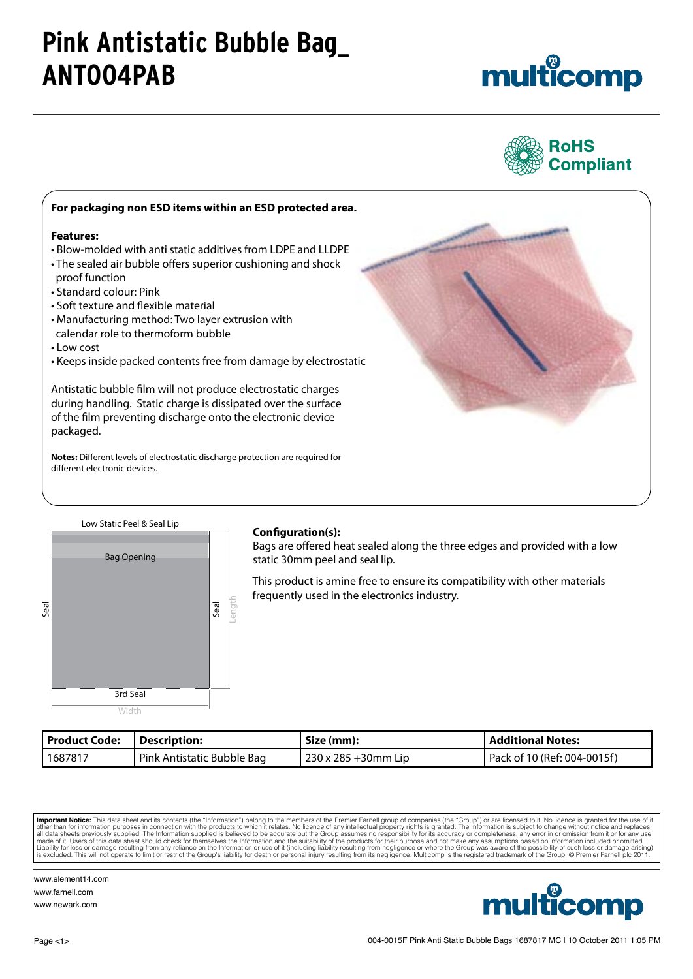# **Pink Antistatic Bubble Bag\_ ANT004PAB**





### **For packaging non ESD items within an ESD protected area. Features:** • Blow-molded with anti static additives from LDPE and LLDPE • The sealed air bubble offers superior cushioning and shock proof function • Standard colour: Pink • Soft texture and flexible material • Manufacturing method: Two layer extrusion with calendar role to thermoform bubble • Low cost • Keeps inside packed contents free from damage by electrostatic Antistatic bubble film will not produce electrostatic charges during handling. Static charge is dissipated over the surface of the film preventing discharge onto the electronic device packaged. **Notes:** Different levels of electrostatic discharge protection are required for different electronic devices.



### **Configuration(s):**

Bags are offered heat sealed along the three edges and provided with a low Bag Opening **Example 20 Static 30mm peel and seal lip.** 

> This product is amine free to ensure its compatibility with other materials frequently used in the electronics industry.

| Product Code: | Description:               | Size (mm):            | <b>Additional Notes:</b>    |
|---------------|----------------------------|-----------------------|-----------------------------|
| 1687817       | Pink Antistatic Bubble Bag | l 230 x 285 +30mm Lip | Pack of 10 (Ref: 004-0015f) |

**Important Notice:** This data sheet and its contents (the "Information") belong to the members of the Premier Farnell group of companies (the "Group") or are licensed to it. No licence is granted for the use of it and the



www.element14.com www.farnell.com www.newark.com